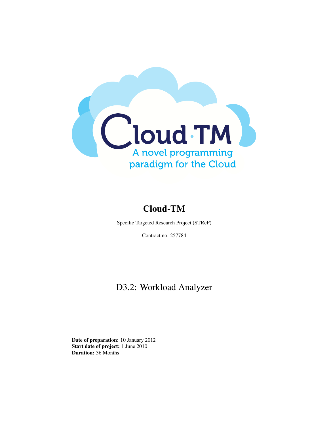

# Cloud-TM

Specific Targeted Research Project (STReP)

Contract no. 257784

# D3.2: Workload Analyzer

Date of preparation: 10 January 2012 Start date of project: 1 June 2010 Duration: 36 Months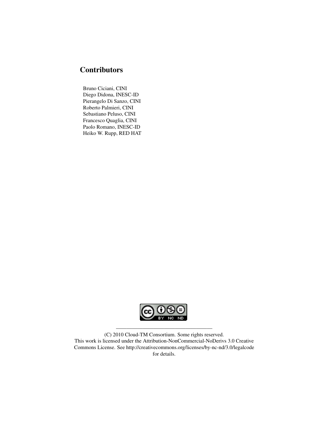# **Contributors**

Bruno Ciciani, CINI Diego Didona, INESC-ID Pierangelo Di Sanzo, CINI Roberto Palmieri, CINI Sebastiano Peluso, CINI Francesco Quaglia, CINI Paolo Romano, INESC-ID Heiko W. Rupp, RED HAT



(C) 2010 Cloud-TM Consortium. Some rights reserved. This work is licensed under the Attribution-NonCommercial-NoDerivs 3.0 Creative Commons License. See http://creativecommons.org/licenses/by-nc-nd/3.0/legalcode for details.

——————————————————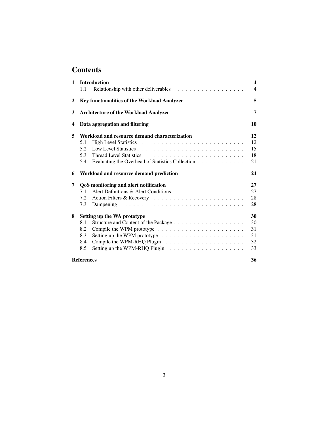# **Contents**

| 1                       | <b>Introduction</b>                                     | $\overline{\mathbf{4}}$ |
|-------------------------|---------------------------------------------------------|-------------------------|
|                         | 1.1                                                     | $\overline{4}$          |
| 2                       | Key functionalities of the Workload Analyzer            | 5                       |
| 3                       | <b>Architecture of the Workload Analyzer</b>            | 7                       |
| $\overline{\mathbf{4}}$ | Data aggregation and filtering                          | 10                      |
| 5                       | Workload and resource demand characterization           | 12                      |
|                         | 5.1                                                     | 12                      |
|                         | 5.2                                                     | 15                      |
|                         | 5.3                                                     | 18                      |
|                         | 5.4<br>Evaluating the Overhead of Statistics Collection | 21                      |
| 6                       | Workload and resource demand prediction                 | 24                      |
| 7                       | QoS monitoring and alert notification                   | 27                      |
|                         | 7.1                                                     | 27                      |
|                         | 7.2                                                     | 28                      |
|                         | 7.3                                                     | 28                      |
| 8                       | Setting up the WA prototype                             | 30                      |
|                         | 8.1                                                     | 30                      |
|                         | 8.2                                                     | 31                      |
|                         | 8.3                                                     | 31                      |
|                         | 8.4                                                     | 32                      |
|                         | 8.5                                                     | 33                      |
|                         | <b>References</b>                                       | 36                      |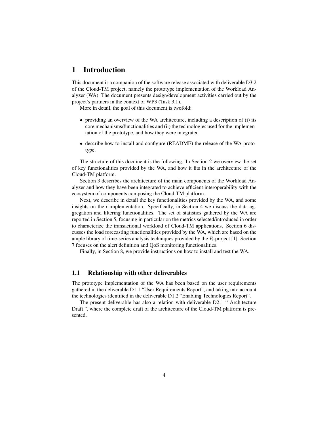## 1 Introduction

This document is a companion of the software release associated with deliverable D3.2 of the Cloud-TM project, namely the prototype implementation of the Workload Analyzer (WA). The document presents design/development activities carried out by the project's partners in the context of WP3 (Task 3.1).

More in detail, the goal of this document is twofold:

- providing an overview of the WA architecture, including a description of (i) its core mechanisms/functionalities and (ii) the technologies used for the implementation of the prototype, and how they were integrated
- describe how to install and configure (README) the release of the WA prototype.

The structure of this document is the following. In Section 2 we overview the set of key functionalities provided by the WA, and how it fits in the architecture of the Cloud-TM platform.

Section 3 describes the architecture of the main components of the Workload Analyzer and how they have been integrated to achieve efficient interoperability with the ecosystem of components composing the Cloud-TM platform.

Next, we describe in detail the key functionalities provided by the WA, and some insights on their implementation. Specifically, in Section 4 we discuss the data aggregation and filtering functionalities. The set of statistics gathered by the WA are reported in Section 5, focusing in particular on the metrics selected/introduced in order to characterize the transactional workload of Cloud-TM applications. Section 6 discusses the load forecasting functionalities provided by the WA, which are based on the ample library of time-series analysis techniques provided by the  $R$ -project [1]. Section 7 focuses on the alert definition and QoS monitoring functionalities.

Finally, in Section 8, we provide instructions on how to install and test the WA.

#### 1.1 Relationship with other deliverables

The prototype implementation of the WA has been based on the user requirements gathered in the deliverable D1.1 "User Requirements Report", and taking into account the technologies identified in the deliverable D1.2 "Enabling Technologies Report".

The present deliverable has also a relation with deliverable D2.1 " Architecture Draft ", where the complete draft of the architecture of the Cloud-TM platform is presented.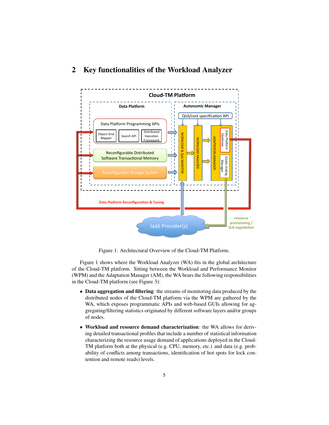# 2 Key functionalities of the Workload Analyzer



Figure 1: Architectural Overview of the Cloud-TM Platform.

Figure 1 shows where the Workload Analyzer (WA) fits in the global architecture of the Cloud-TM platform. Sitting between the Workload and Performance Monitor (WPM) and the Adaptation Manager (AM), the WA bears the following responsibilities in the Cloud-TM platform (see Figure 3):

- Data aggregation and filtering: the streams of monitoring data produced by the distributed nodes of the Cloud-TM platform via the WPM are gathered by the WA, which exposes programmatic APIs and web-based GUIs allowing for aggregating/filtering statistics originated by different software layers and/or groups of nodes.
- Workload and resource demand characterization: the WA allows for deriving detailed transactional profiles that include a number of statistical information characterizing the resource usage demand of applications deployed in the Cloud-TM platform both at the physical (e.g. CPU, memory, etc.) and data (e.g. probability of conflicts among transactions, identification of hot spots for lock contention and remote reads) levels.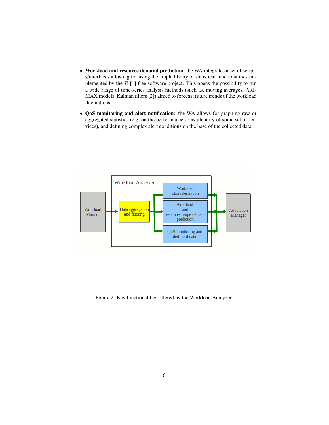- Workload and resource demand prediction: the WA integrates a set of scripts/interfaces allowing for using the ample library of statistical functionalities implemented by the  $R$  [1] free software project. This opens the possibility to run a wide range of time-series analysis methods (such as, moving averages, ARI-MAX models, Kalman filters [2]) aimed to forecast future trends of the workload fluctuations.
- QoS monitoring and alert notification: the WA allows for graphing raw or aggregated statistics (e.g. on the performance or availability of some set of services), and defining complex alert conditions on the base of the collected data.



Figure 2: Key functionalities offered by the Workload Analyzer.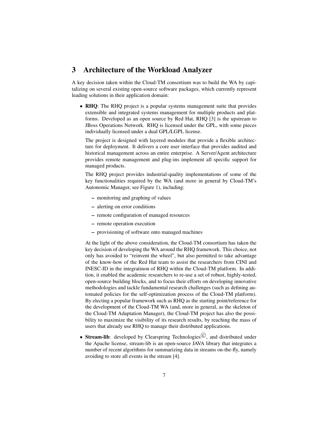## 3 Architecture of the Workload Analyzer

A key decision taken within the Cloud-TM consortium was to build the WA by capitalizing on several existing open-source software packages, which currently represent leading solutions in their application domain:

• RHQ: The RHQ project is a popular systems management suite that provides extensible and integrated systems management for multiple products and platforms. Developed as an open source by Red Hat, RHQ [3] is the upstream to JBoss Operations Network. RHQ is licensed under the GPL, with some pieces individually licensed under a dual GPL/LGPL license.

The project is designed with layered modules that provide a flexible architecture for deployment. It delivers a core user interface that provides audited and historical management across an entire enterprise. A Server/Agent architecture provides remote management and plug-ins implement all specific support for managed products.

The RHQ project provides industrial-quality implementations of some of the key functionalities required by the WA (and more in general by Cloud-TM's Autonomic Manager, see Figure 1), including:

- monitoring and graphing of values
- alerting on error conditions
- remote configuration of managed resources
- remote operation execution
- provisioning of software onto managed machines

At the light of the above consideration, the Cloud-TM consortium has taken the key decision of developing the WA around the RHQ framework. This choice, not only has avoided to "reinvent the wheel", but also permitted to take advantage of the know-how of the Red Hat team to assist the researchers from CINI and INESC-ID in the integratinon of RHQ within the Cloud-TM platform. In addition, it enabled the academic researchers to re-use a set of robust, highly-tested, open-source building blocks, and to focus their efforts on developing innovative methodologies and tackle fundamental research challenges (such as defining automated policies for the self-optimization process of the Cloud-TM platform). By electing a popular framework such as RHQ as the starting point/reference for the development of the Cloud-TM WA (and, more in general, as the skeleton of the Cloud-TM Adaptation Manager), the Cloud-TM project has also the possibility to maximize the visibility of its research results, by reaching the mass of users that already use RHQ to manage their distributed applications.

• Stream-lib: developed by Clearspring Technologies $\mathbb{C}$ , and distributed under the Apache license, stream-lib is an open-source JAVA library that integrates a number of recent algorithms for summarizing data in streams on-the-fly, namely avoiding to store all events in the stream [4].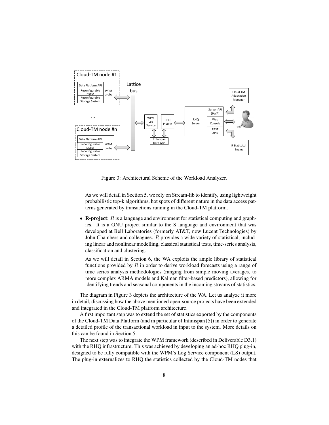

Figure 3: Architectural Scheme of the Workload Analyzer.

As we will detail in Section 5, we rely on Stream-lib to identify, using lightweight probabilistic top-k algorithms, hot spots of different nature in the data access patterns generated by transactions running in the Cloud-TM platform.

• R-project:  $R$  is a language and environment for statistical computing and graphics. It is a GNU project similar to the S language and environment that was developed at Bell Laboratories (formerly AT&T, now Lucent Technologies) by John Chambers and colleagues. R provides a wide variety of statistical, including linear and nonlinear modelling, classical statistical tests, time-series analysis, classification and clustering.

As we will detail in Section 6, the WA exploits the ample library of statistical functions provided by  $R$  in order to derive workload forecasts using a range of time series analysis methodologies (ranging from simple moving averages, to more complex ARMA models and Kalman filter-based predictors), allowing for identifying trends and seasonal components in the incoming streams of statistics.

The diagram in Figure 3 depicts the architecture of the WA. Let us analyze it more in detail, discussing how the above mentioned open-source projects have been extended and integrated in the Cloud-TM platform architecture.

A first important step was to extend the set of statistics exported by the components of the Cloud-TM Data Platform (and in particular of Infinispan [5]) in order to generate a detailed profile of the transactional workload in input to the system. More details on this can be found in Section 5.

The next step was to integrate the WPM framework (described in Deliverable D3.1) with the RHQ infrastructure. This was achieved by developing an ad-hoc RHQ plug-in, designed to be fully compatible with the WPM's Log Service component (LS) output. The plug-in externalizes to RHQ the statistics collected by the Cloud-TM nodes that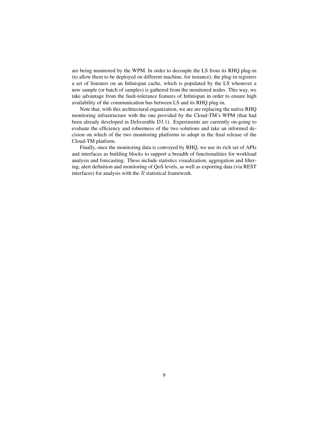are being monitored by the WPM. In order to decouple the LS from its RHQ plug-in (to allow them to be deployed on different machine, for instance), the plug-in registers a set of listeners on an Infinispan cache, which is populated by the LS whenever a new sample (or batch of samples) is gathered from the monitored nodes. This way, we take advantage from the fault-tolerance features of Infinispan in order to ensure high availability of the communication bus between LS and its RHQ plug-in.

Note that, with this architectural organization, we are are replacing the native RHQ monitoring infrastructure with the one provided by the Cloud-TM's WPM (that had been already developed in Deliverable D3.1). Experiments are currently on-going to evaluate the efficiency and robustness of the two solutions and take an informed decision on which of the two monitoring platforms to adopt in the final release of the Cloud-TM platform.

Finally, once the monitoring data is convoyed by RHQ, we use its rich set of APIs and interfaces as building blocks to support a breadth of functionalities for workload analysis and forecasting. These include statistics visualization, aggregation and filtering, alert definition and monitoring of QoS levels, as well as exporting data (via REST interfaces) for analysis with the  $R$  statistical framework.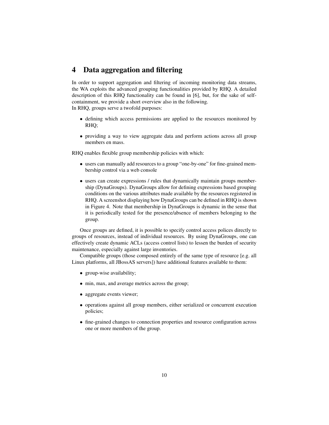## 4 Data aggregation and filtering

In order to support aggregation and filtering of incoming monitoring data streams, the WA exploits the advanced grouping functionalities provided by RHQ. A detailed description of this RHQ functionality can be found in [6], but, for the sake of selfcontainment, we provide a short overview also in the following.

In RHQ, groups serve a twofold purposes:

- defining which access permissions are applied to the resources monitored by RHQ;
- providing a way to view aggregate data and perform actions across all group members en mass.

RHQ enables flexible group membership policies with which:

- users can manually add resources to a group "one-by-one" for fine-grained membership control via a web console
- users can create expressions / rules that dynamically maintain groups membership (DynaGroups). DynaGroups allow for defining expressions based grouping conditions on the various attributes made available by the resources registered in RHQ. A screenshot displaying how DynaGroups can be defined in RHQ is shown in Figure 4. Note that membership in DynaGroups is dynamic in the sense that it is periodically tested for the presence/absence of members belonging to the group.

Once groups are defined, it is possible to specify control access polices directly to groups of resources, instead of individual resources. By using DynaGroups, one can effectively create dynamic ACLs (access control lists) to lessen the burden of security maintenance, especially against large inventories.

Compatible groups (those composed entirely of the same type of resource [e.g. all Linux platforms, all JBossAS servers]) have additional features available to them:

- group-wise availability;
- min, max, and average metrics across the group;
- aggregate events viewer;
- operations against all group members, either serialized or concurrent execution policies;
- fine-grained changes to connection properties and resource configuration across one or more members of the group.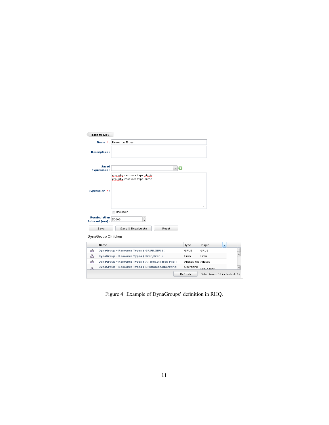| <b>Back to List</b>                |                                                            |              |                      |                              |                          |               |
|------------------------------------|------------------------------------------------------------|--------------|----------------------|------------------------------|--------------------------|---------------|
|                                    | Name *: Resource Types                                     |              |                      |                              |                          |               |
| <b>Description:</b>                |                                                            |              |                      | al.                          |                          |               |
| <b>Saved</b><br><b>Expression:</b> |                                                            | $\mathbb{M}$ |                      |                              |                          |               |
|                                    | groupby resource.type.plugin<br>groupby resource.type.name |              |                      |                              |                          |               |
| <b>Expression *:</b>               |                                                            |              |                      |                              |                          |               |
|                                    |                                                            |              |                      | al.                          |                          |               |
| Recalculation<br>Interval (ms):    | Recursive<br>÷<br>50000                                    |              |                      |                              |                          |               |
| Save                               | Save & Recalculate                                         | Reset        |                      |                              |                          |               |
| DynaGroup Children                 |                                                            |              |                      |                              |                          |               |
| Name                               |                                                            |              | Type                 | Plugin                       | $\overline{\phantom{a}}$ |               |
| க                                  | DynaGroup - Resource Types (GRUB, GRUB)                    |              | GRUB                 | <b>GRUB</b>                  |                          | $\frac{1}{2}$ |
| கி                                 | DynaGroup - Resource Types (Cron, Cron)                    |              | Cron                 | Cron                         |                          |               |
| க                                  | DynaGroup - Resource Types (Aliases, Aliases File)         |              | Aliases File Aliases |                              |                          |               |
| Æ.                                 | DynaGroup - Resource Types (RHQAgent, Operating            |              | Operating            | RHOAgent                     |                          | ÷             |
|                                    |                                                            |              | Refresh              | Total Rows: 31 (selected: 0) |                          |               |

Figure 4: Example of DynaGroups' definition in RHQ.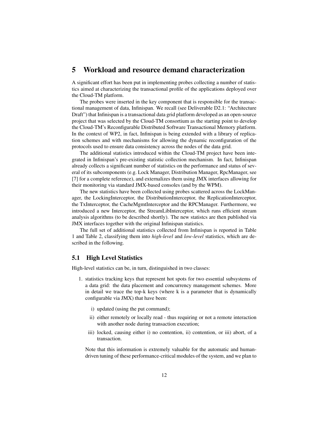## 5 Workload and resource demand characterization

A significant effort has been put in implementing probes collecting a number of statistics aimed at characterizing the transactional profile of the applications deployed over the Cloud-TM platform.

The probes were inserted in the key component that is responsible for the transactional management of data, Infinispan. We recall (see Deliverable D2.1: "Architecture Draft") that Infinispan is a transactional data grid platform developed as an open-source project that was selected by the Cloud-TM consortium as the starting point to develop the Cloud-TM's Reconfigurable Distributed Software Transactional Memory platform. In the context of WP2, in fact, Infinispan is being extended with a library of replication schemes and with mechanisms for allowing the dynamic reconfiguration of the protocols used to ensure data consistency across the nodes of the data grid.

The additional statistics introduced within the Cloud-TM project have been integrated in Infinispan's pre-existing statistic collection mechanism. In fact, Infinispan already collects a significant number of statistics on the performance and status of several of its subcomponents (e.g. Lock Manager, Distribution Manager, RpcManager, see [7] for a complete reference), and externalizes them using JMX interfaces allowing for their monitoring via standard JMX-based consoles (and by the WPM).

The new statistics have been collected using probes scattered across the LockManager, the LockingInterceptor, the DistributionInterceptor, the ReplicationInterceptor, the TxInterceptor, the CacheMgmtInterceptor and the RPCManager. Furthermore, we introduced a new Interceptor, the StreamLibInterceptor, which runs efficient stream analysis algorithms (to be described shortly). The new statistcs are then published via JMX interfaces together with the original Infinispan statistics.

The full set of additional statistics collected from Infinispan is reported in Table 1 and Table 2, classifying them into *high-level* and *low-level* statistics, which are described in the following.

#### 5.1 High Level Statistics

High-level statistics can be, in turn, distinguished in two classes:

- 1. statistics tracking keys that represent hot spots for two essential subsystems of a data grid: the data placement and concurrency management schemes. More in detail we trace the top-k keys (where k is a parameter that is dynamically configurable via JMX) that have been:
	- i) updated (using the put command);
	- ii) either remotely or locally read thus requiring or not a remote interaction with another node during transaction execution;
	- iii) locked, causing either i) no contention, ii) contention, or iii) abort, of a transaction.

Note that this information is extremely valuable for the automatic and humandriven tuning of these performance-critical modules of the system, and we plan to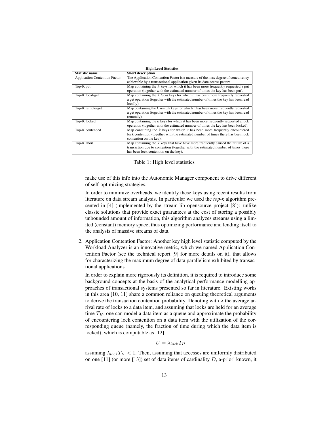|                                      | <b>High Level Statistics</b>                                                             |
|--------------------------------------|------------------------------------------------------------------------------------------|
| <b>Statistic name</b>                | <b>Short description</b>                                                                 |
| <b>Application Contention Factor</b> | The Application Contention Factor is a measure of the max degree of concurrency          |
|                                      | achievable by a transactional application given its data access pattern.                 |
| Top-K put                            | Map containing the $k$ keys for which it has been more frequently requested a put        |
|                                      | operation (together with the estimated number of times the key has been put).            |
| Top-K local-get                      | Map containing the $k$ <i>local</i> keys for which it has been more frequently requested |
|                                      | a get operation (together with the estimated number of times the key has been read       |
|                                      | locally).                                                                                |
| Top-K remote-get                     | Map containing the k remote keys for which it has been more frequently requested         |
|                                      | a get operation (together with the estimated number of times the key has been read       |
|                                      | remotely).                                                                               |
| Top-K locked                         | Map containing the $k$ keys for which it has been more frequently requested a lock       |
|                                      | operation (together with the estimated number of times the key has been locked).         |
| Top-K contended                      | Map containing the $k$ keys for which it has been more frequently encountered            |
|                                      | lock contention (together with the estimated number of times there has been lock         |
|                                      | contention on the key).                                                                  |
| Top-K abort                          | Map containing the $k$ keys that have have more frequently caused the failure of a       |
|                                      | transaction due to contention (together with the estimated number of times there         |
|                                      | has been lock contention on the key).                                                    |

Table 1: High level statistics

make use of this info into the Autonomic Manager component to drive different of self-optimizing strategies.

In order to minimize overheads, we identify these keys using recent results from literature on data stream analysis. In particular we used the *top-k* algorithm presented in [4] (implemented by the stream-lib opensource project [8]): unlike classic solutions that provide exact guarantees at the cost of storing a possibly unbounded amount of information, this algorithm analyzes streams using a limited (constant) memory space, thus optimizing performance and lending itself to the analysis of massive streams of data.

2. Application Contention Factor: Another key high level statistic computed by the Workload Analyzer is an innovative metric, which we named Application Contention Factor (see the technical report [9] for more details on it), that allows for characterizing the maximum degree of data parallelism exhibited by transactional applications.

In order to explain more rigorously its definition, it is required to introduce some background concepts at the basis of the analytical performance modelling approaches of transactional systems presented so far in literature. Existing works in this area [10, 11] share a common reliance on queuing theoretical arguments to derive the transaction contention probability. Denoting with  $\lambda$  the average arrival rate of locks to a data item, and assuming that locks are held for an average time  $T_H$ , one can model a data item as a queue and approximate the probability of encountering lock contention on a data item with the utilization of the corresponding queue (namely, the fraction of time during which the data item is locked), which is computable as [12]:

$$
U = \lambda_{lock} T_H
$$

assuming  $\lambda_{lock}T_H < 1$ . Then, assuming that accesses are uniformly distributed on one [11] (or more [13]) set of data items of cardinality  $D$ , a-priori known, it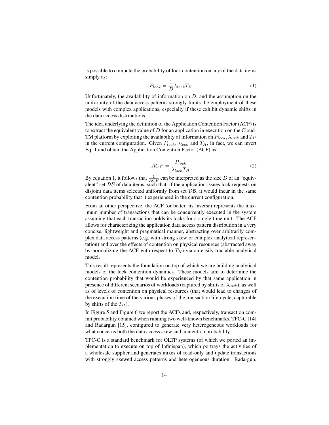is possible to compute the probability of lock contention on any of the data items simply as:

$$
P_{lock} = \frac{1}{D} \lambda_{lock} T_H \tag{1}
$$

Unfortunately, the availability of information on  $D$ , and the assumption on the uniformity of the data access patterns strongly limits the employment of these models with complex applications, especially if these exhibit dynamic shifts in the data access distributions.

The idea underlying the definition of the Application Contention Factor (ACF) is to extract the equivalent value of  $D$  for an application in execution on the Cloud-TM platform by exploiting the availability of information on  $P_{lock}$ ,  $\lambda_{lock}$  and  $T_H$ in the current configuration. Given  $P_{lock}$ ,  $\lambda_{lock}$  and  $T_H$ , in fact, we can invert Eq. 1 and obtain the Application Contention Factor (ACF) as:

$$
ACF = \frac{P_{lock}}{\lambda_{lock}T_H}
$$
 (2)

By equation 1, it follows that  $\frac{1}{ACF}$  can be interpreted as the size D of an "equivalent" set  $\mathcal{DB}$  of data items, such that, if the application issues lock requests on disjoint data items selected uniformly from set  $\mathcal{DB}$ , it would incur in the same contention probability that it experienced in the current configuration.

From an other perspective, the ACF (or better, its inverse) represents the maximum number of transactions that can be concurrently executed in the system assuming that each transaction holds its locks for a single time unit. The ACF allows for characterizing the application data access pattern distribution in a very concise, lightweight and pragmatical manner, abstracting over arbitrarily complex data access patterns (e.g. with strong skew or complex analytical representation) and over the effects of contention on physical resources (abstracted away by normalizing the ACF with respect to  $T_H$ ) via an easily tractable analytical model.

This result represents the foundation on top of which we are building analytical models of the lock contention dynamics. These models aim to determine the contention probability that would be experienced by that same application in presence of different scenarios of workloads (captured by shifts of  $\lambda_{lock}$ ), as well as of levels of contention on physical resources (that would lead to changes of the execution time of the various phases of the transaction life-cycle, capturable by shifts of the  $T_H$ ).

In Figure 5 and Figure 6 we report the ACFs and, respectively, transaction commit probability obtained when running two well-known benchmarks, TPC-C [14] and Radargun [15], configured to generate very heterogeneous workloads for what concerns both the data access skew and contention probability.

TPC-C is a standard benchmark for OLTP systems (of which we ported an implementation to execute on top of Infinispan), which portrays the activities of a wholesale supplier and generates mixes of read-only and update transactions with strongly skewed access patterns and heterogeneous duration. Radargun,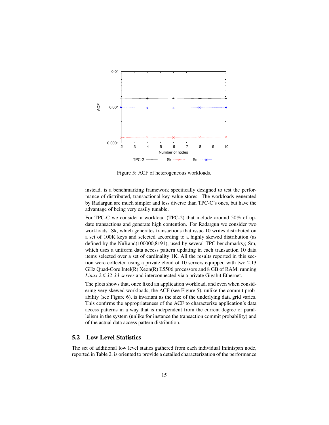

Figure 5: ACF of heterogeneous workloads.

instead, is a benchmarking framework specifically designed to test the performance of distributed, transactional key-value stores. The workloads generated by Radargun are much simpler and less diverse than TPC-C's ones, but have the advantage of being very easily tunable.

For TPC-C we consider a workload (TPC-2) that include around 50% of update transactions and generate high contention. For Radargun we consider two workloads: Sk, which generates transactions that issue 10 writes distributed on a set of 100K keys and selected according to a highly skewed distribution (as defined by the NuRand(100000,8191), used by several TPC benchmarks); Sm, which uses a uniform data access pattern updating in each transaction 10 data items selected over a set of cardinality 1K. All the results reported in this section were collected using a private cloud of 10 servers equipped with two 2.13 GHz Quad-Core Intel(R) Xeon(R) E5506 processors and 8 GB of RAM, running *Linux 2.6.32-33-server* and interconnected via a private Gigabit Ethernet.

The plots shows that, once fixed an application workload, and even when considering very skewed workloads, the ACF (see Figure 5), unlike the commit probability (see Figure 6), is invariant as the size of the underlying data grid varies. This confirms the appropriateness of the ACF to characterize application's data access patterns in a way that is independent from the current degree of parallelism in the system (unlike for instance the transaction commit probability) and of the actual data access pattern distribution.

### 5.2 Low Level Statistics

The set of additional low level statics gathered from each individual Infinispan node, reported in Table 2, is oriented to provide a detailed characterization of the performance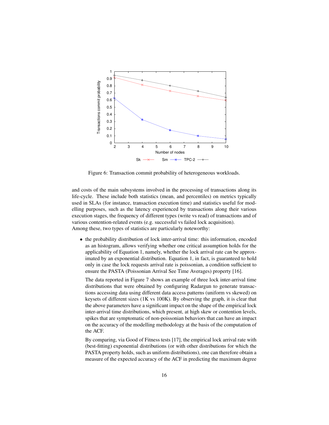

Figure 6: Transaction commit probability of heterogeneous workloads.

and costs of the main subsystems involved in the processing of transactions along its life-cycle. These include both statistics (mean, and percentiles) on metrics typically used in SLAs (for instance, transaction execution time) and statistics useful for modelling purposes, such as the latency experienced by transactions along their various execution stages, the frequency of different types (write vs read) of transactions and of various contention-related events (e.g. successful vs failed lock acquisition). Among these, two types of statistics are particularly noteworthy:

• the probability distribution of lock inter-arrival time: this information, encoded as an histogram, allows verifying whether one critical assumption holds for the applicability of Equation 1, namely, whether the lock arrival rate can be approximated by an exponential distribution. Equation 1, in fact, is guaranteed to hold only in case the lock requests arrival rate is poissonian, a condition sufficient to ensure the PASTA (Poissonian Arrival See Time Averages) property [16].

The data reported in Figure 7 shows an example of three lock inter-arrival time distributions that were obtained by configuring Radargun to generate transactions accessing data using different data access patterns (uniform vs skewed) on keysets of different sizes (1K vs 100K). By observing the graph, it is clear that the above parameters have a significant impact on the shape of the empirical lock inter-arrival time distributions, which present, at high skew or contention levels, spikes that are symptomatic of non-poissonian behaviors that can have an impact on the accuracy of the modelling methodology at the basis of the computation of the ACF.

By comparing, via Good of Fitness tests [17], the empirical lock arrival rate with (best-fitting) exponential distributions (or with other distributions for which the PASTA property holds, such as uniform distributions), one can therefore obtain a measure of the expected accuracy of the ACF in predicting the maximum degree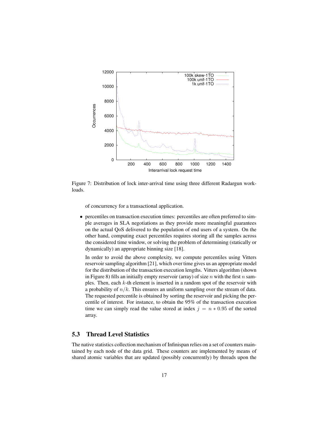

Figure 7: Distribution of lock inter-arrival time using three different Radargun workloads.

of concurrency for a transactional application.

• percentiles on transaction execution times: percentiles are often preferred to simple averages in SLA negotiations as they provide more meaningful guarantees on the actual QoS delivered to the population of end users of a system. On the other hand, computing exact percentiles requires storing all the samples across the considered time window, or solving the problem of determining (statically or dynamically) an appropriate binning size [18].

In order to avoid the above complexity, we compute percentiles using Vitters reservoir sampling algorithm [21], which over time gives us an appropriate model for the distribution of the transaction execution lengths. Vitters algorithm (shown in Figure 8) fills an initially empty reservoir (array) of size  $n$  with the first  $n$  samples. Then, each k-th element is inserted in a random spot of the reservoir with a probability of  $n/k$ . This ensures an uniform sampling over the stream of data. The requested percentile is obtained by sorting the reservoir and picking the percentile of interest. For instance, to obtain the 95% of the transaction execution time we can simply read the value stored at index  $j = n * 0.95$  of the sorted array.

### 5.3 Thread Level Statistics

The native statistics collection mechanism of Infinispan relies on a set of counters maintained by each node of the data grid. These counters are implemented by means of shared atomic variables that are updated (possibly concurrently) by threads upon the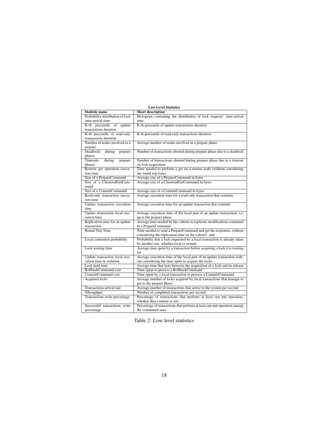|                                            | <b>Low Level Statistics</b>                                                                                                           |
|--------------------------------------------|---------------------------------------------------------------------------------------------------------------------------------------|
| <b>Statistic name</b>                      | <b>Short description</b>                                                                                                              |
| Probability distribution of lock           | Histogram containing the distribution of lock requests' inter-arrival                                                                 |
| inter-arrival time                         | time.                                                                                                                                 |
| K-th percentile of<br>update               | K-th percentile of update transactions duration                                                                                       |
| transactions duration                      |                                                                                                                                       |
| K-th percentile of read-only               | K-th percentile of read-only transactions duration                                                                                    |
| transactions duration                      |                                                                                                                                       |
| Number of nodes involved in a              | Average number of nodes involved in a prepare phase                                                                                   |
| prepare                                    |                                                                                                                                       |
| Deadlocks<br>during<br>prepare             | Number of transactions aborted during prepare phase due to a deadlock                                                                 |
| phases                                     |                                                                                                                                       |
| <b>Timeouts</b><br>during<br>prepare       | Number of transactions aborted during prepare phase due to a timeout                                                                  |
| phases                                     | on lock acquisition<br>Time needed to perform a get on a remote node (without considering                                             |
| Remote get operation execu-<br>tion time   | the round trip time)                                                                                                                  |
| Size of a PrepareCommand                   | Average size of a PrepareCommand in bytes                                                                                             |
| Size of a ClusteredGetCom-                 | Average size of a ClusteredGetCommand in bytes                                                                                        |
| mand                                       |                                                                                                                                       |
| Size of a CommitCommand                    | Average size of a CommitCommand in bytes                                                                                              |
| Read-only transaction execu-               | Average execution time for a read-only transaction that commits                                                                       |
| tion time                                  |                                                                                                                                       |
| Update transaction execution               | Average execution time for an update transaction that commits                                                                         |
| time                                       |                                                                                                                                       |
| Update transaction local exe-              | Average execution time of the local part of an update transaction, i.e.                                                               |
| cution time                                | up to the prepare phase                                                                                                               |
| Replication time for an update             | Average time needed by the cohorts to replicate modifications contained                                                               |
| transaction                                | in a PrepareCommand                                                                                                                   |
| Round Trip Time                            | Time needed to send a PrepareCommand and get the responses, without                                                                   |
|                                            | considering the replication time on the cohorts' side                                                                                 |
| Local contention probability               | Probability that a lock requested by a local transaction is already taken                                                             |
|                                            | by another one, whether local or remote                                                                                               |
| Lock waiting time                          | Average time spent by a transaction before acquiring a lock it is waiting                                                             |
|                                            | for                                                                                                                                   |
| Update transaction local exe-              | Average execution time of the local part of an update transaction with-                                                               |
| cution time in isolation<br>Lock hold time | out considering the time spent to acquire the locks                                                                                   |
|                                            | Average time that lasts between the acquisition of a lock and its release                                                             |
| RollbackCommand cost<br>CommitCommand cost | Time spent to process a RollbackCommand                                                                                               |
| <b>Acquired locks</b>                      | Time spent by a local transaction to process a CommitCommand<br>Average number of locks acquired by local transactions that manage to |
|                                            | get to the prepare phase                                                                                                              |
| Transactions arrival rate                  | Average number of transactions that arrive to the system per second                                                                   |
| Trhoughput                                 | Number of completed transactions per second                                                                                           |
| Transactions write percentage              | Percentage of transactions that perform at least one put operation,                                                                   |
|                                            | whether they commit or not                                                                                                            |
| Successful transactions write              | Percentage of transactions that perform at least one put operation among                                                              |
| percentage                                 | the committed ones                                                                                                                    |

Table 2: Low level statistics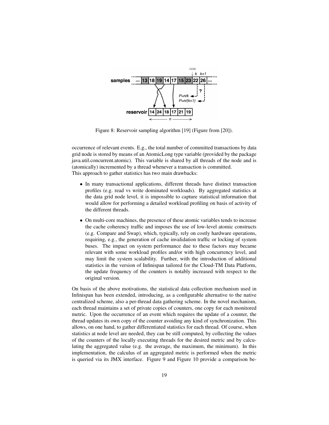

Figure 8: Reservoir sampling algorithm [19] (Figure from [20]).

occurrence of relevant events. E.g., the total number of committed transactions by data grid node is stored by means of an AtomicLong type variable (provided by the package java.util.concurrent.atomic). This variable is shared by all threads of the node and is (atomically) incremented by a thread whenever a transaction is committed. This approach to gather statistics has two main drawbacks:

- In many transactional applications, different threads have distinct transaction profiles (e.g. read vs write dominated workloads). By aggregated statistics at the data grid node level, it is impossible to capture statistical information that would allow for performing a detailed workload profiling on basis of activity of the different threads.
- On multi-core machines, the presence of these atomic variables tends to increase the cache coherency traffic and imposes the use of low-level atomic constructs (e.g. Compare and Swap), which, typically, rely on costly hardware operations, requiring, e.g., the generation of cache invalidation traffic or locking of system buses. The impact on system performance due to these factors may became relevant with some workload profiles and/or with high concurrency level, and may limit the system scalability. Further, with the introduction of additional statistics in the version of Infinispan tailored for the Cloud-TM Data Platform, the update frequency of the counters is notably increased with respect to the original version.

On basis of the above motivations, the statistical data collection mechanism used in Infinispan has been extended, introducing, as a configurable alternative to the native centralized scheme, also a per-thread data gathering scheme. In the novel mechanism, each thread maintains a set of private copies of counters, one copy for each monitored metric. Upon the occurrence of an event which requires the update of a counter, the thread updates its own copy of the counter avoiding any kind of synchronization. This allows, on one hand, to gather differentiated statistics for each thread. Of course, when statistics at node level are needed, they can be still computed, by collecting the values of the counters of the locally executing threads for the desired metric and by calculating the aggregated value (e.g. the average, the maximum, the minimum). In this implementation, the calculus of an aggregated metric is performed when the metric is queried via its JMX interface. Figure 9 and Figure 10 provide a comparison be-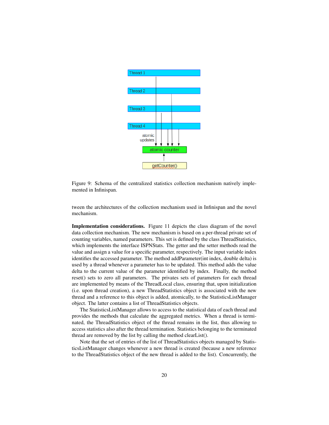

Figure 9: Schema of the centralized statistics collection mechanism natively implemented in Infinispan.

tween the architectures of the collection mechanism used in Infinispan and the novel mechanism.

Implementation considerations. Figure 11 depicts the class diagram of the novel data collection mechanism. The new mechanism is based on a per-thread private set of counting variables, named parameters. This set is defined by the class ThreadStatistics, which implements the interface ISPNStats. The getter and the setter methods read the value and assign a value for a specific parameter, respectively. The input variable index identifies the accessed parameter. The method addParameter(int index, double delta) is used by a thread whenever a parameter has to be updated. This method adds the value delta to the current value of the parameter identified by index. Finally, the method reset() sets to zero all parameters. The privates sets of parameters for each thread are implemented by means of the ThreadLocal class, ensuring that, upon initialization (i.e. upon thread creation), a new ThreadStatistics object is associated with the new thread and a reference to this object is added, atomically, to the StatisticsListManager object. The latter contains a list of ThreadStatistics objects.

The StatisticsListManager allows to access to the statistical data of each thread and provides the methods that calculate the aggregated metrics. When a thread is terminated, the ThreadStatistics object of the thread remains in the list, thus allowing to access statistics also after the thread termination. Statistics belonging to the terminated thread are removed by the list by calling the method clearList().

Note that the set of entries of the list of ThreadStatistics objects managed by StatisticsListManager changes whenever a new thread is created (because a new reference to the ThreadStatistics object of the new thread is added to the list). Concurrently, the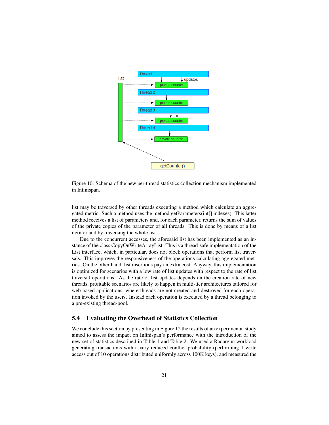

Figure 10: Schema of the new per-thread statistics collection mechanism implemented in Infinispan.

list may be traversed by other threads executing a method which calculate an aggregated metric. Such a method uses the method getParameters(int[] indexes). This latter method receives a list of parameters and, for each parameter, returns the sum of values of the private copies of the parameter of all threads. This is done by means of a list iterator and by traversing the whole list.

Due to the concurrent accesses, the aforesaid list has been implemented as an instance of the class CopyOnWriteArrayList. This is a thread-safe implementation of the List interface, which, in particular, does not block operations that perform list traversals. This improves the responsiveness of the operations calculating aggregated metrics. On the other hand, list insertions pay an extra cost. Anyway, this implementation is optimized for scenarios with a low rate of list updates with respect to the rate of list traversal operations. As the rate of list updates depends on the creation rate of new threads, profitable scenarios are likely to happen in multi-tier architectures tailored for web-based applications, where threads are not created and destroyed for each operation invoked by the users. Instead each operation is executed by a thread belonging to a pre-existing thread-pool.

#### 5.4 Evaluating the Overhead of Statistics Collection

We conclude this section by presenting in Figure 12 the results of an experimental study aimed to assess the impact on Infinispan's performance with the introduction of the new set of statistics described in Table 1 and Table 2. We used a Radargun workload generating transactions with a very reduced conflict probability (performing 1 write access out of 10 operations distributed uniformly across 100K keys), and measured the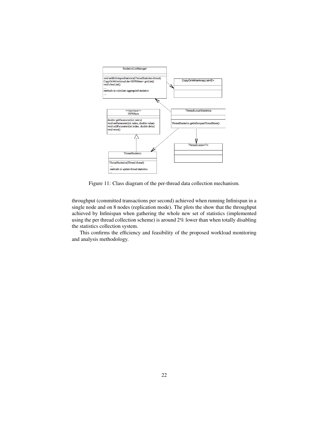

Figure 11: Class diagram of the per-thread data collection mechanism.

throughput (committed transactions per second) achieved when running Infinispan in a single node and on 8 nodes (replication mode). The plots the show that the throughput achieved by Infinispan when gathering the whole new set of statistics (implemented using the per thread collection scheme) is around 2% lower than when totally disabling the statistics collection system.

This confirms the efficiency and feasibility of the proposed workload monitoring and analysis methodology.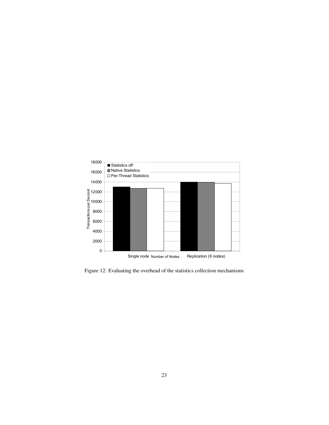

Figure 12: Evaluating the overhead of the statistics collection mechanisms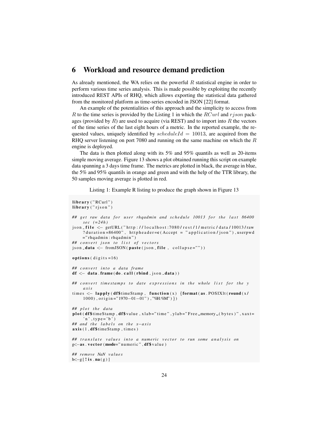## 6 Workload and resource demand prediction

As already mentioned, the WA relies on the powerful  $R$  statistical engine in order to perform various time series analysis. This is made possible by exploiting the recently introduced REST APIs of RHQ, which allows exporting the statistical data gathered from the monitored platform as time-series encoded in JSON [22] format.

An example of the potentialities of this approach and the simplicity to access from R to the time series is provided by the Listing 1 in which the  $RCurl$  and  $rjson$  packages (provided by  $R$ ) are used to acquire (via REST) and to import into  $R$  the vectors of the time series of the last eight hours of a metric. In the reported example, the requested values, uniquely identified by  $scheduling$  = 10013, are acquired from the RHQ server listening on port 7080 and running on the same machine on which the R engine is deployed.

The data is then plotted along with its 5% and 95% quantils as well as 20-items simple moving average. Figure 13 shows a plot obtained running this script on example data spanning a 3 days time frame. The metrics are plotted in black, the average in blue, the 5% and 95% quantils in orange and green and with the help of the TTR library, the 50 samples moving average is plotted in red.

Listing 1: Example R listing to produce the graph shown in Figure 13

```
\mathbf{library} ("RCurl")
library ("rjson")
## get raw data for user rhqadmin and schedule 10013 for the last 86400
     sec (=\frac{24h}{h})json _ file <- getURL ("http://localhost:7080/rest/1/metric/data/10013/raw
     ? duration =86400", httpheader=c(Accept = "application/json"), userpwd
     =" rhqadmin : rhqadmin")
## convert json to list of vectors
json\_data \leftarrow from JSON(paste(json\_file, collapse=""))options (\text{digits} = 16)
# # c o n v e r t i n t o a d at a f r am e
df \leftarrow data . frame (do . call (rbind , json . data))# # c o n v e r t ti m e st a m p s t o d at e e x p r e s s i o n s i n t h e w h ole l i s t f o r t h e y
     a x i s
times \leftarrow lapply (df$timeStamp, function (x) {format (as. POSIXIt (round (x/)}
     1000), origin ="1970-01-01"), "%H:%M") })
# plot the data
plot (df$timeStamp, df$value, xlab="time", ylab="Free_memory_(bytes)", xaxt=
     'n', type='b')
## and the labels on the x-axis
axis (1, df$timeStamp, times)
# # t r a n s l a t e v a l u e s i n t o a n um e ri c v e c t o r t o r u n some a n a l y s i s on
g<−as . vector (mode="numeric", df$value)
# # remove NaN v a l u e s
h \leftarrow g [ ! is . na(g)]
```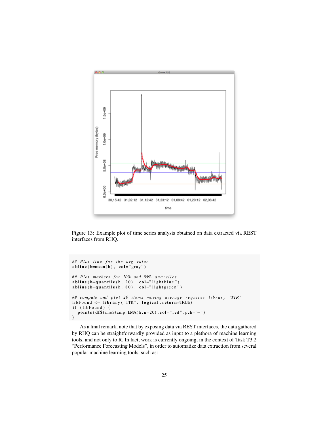

Figure 13: Example plot of time series analysis obtained on data extracted via REST interfaces from RHQ.

```
## Plot line for the avg value
abline(h=mean(h), col='gray")## Plot markers for 20% and 80% quantiles
abline (h = qu antile (h_1, 20), col="lightblue")
a b l ine (h =quantile (h, .80), col = "light g reen")
## compute and plot 20 items moving average requires library 'TTR'
\text{libFound} <  \text{library} ("TTR", logical . return=TRUE)
if (libFound) {
  points (df$timeStamp,EMA(h, n=20), col="red", pch="-")
}
```
As a final remark, note that by exposing data via REST interfaces, the data gathered by RHQ can be straightforwardly provided as input to a plethora of machine learning tools, and not only to R. In fact, work is currently ongoing, in the context of Task T3.2 "Performance Forecasting Models", in order to automatize data extraction from several popular machine learning tools, such as: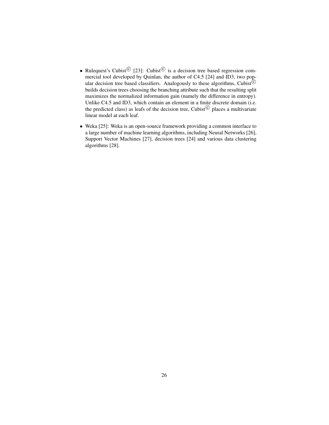- Rulequest's Cubist<sup>©</sup> [23]: Cubist<sup>©</sup> is a decision tree based regression commercial tool developed by Quinlan, the author of C4.5 [24] and ID3, two popular decision tree based classifiers. Analogously to these algorithms, Cubist<sup>©</sup> builds decision trees choosing the branching attribute such that the resulting split maximizes the normalized information gain (namely the difference in entropy). Unlike C4.5 and ID3, which contain an element in a finite discrete domain (i.e. the predicted class) as leafs of the decision tree, Cubist<sup> $©$ </sup> places a multivariate linear model at each leaf.
- Weka [25]: Weka is an open-source framework providing a common interface to a large number of machine learning algorithms, including Neural Networks [26], Support Vector Machines [27], decision trees [24] and various data clustering algorithms [28].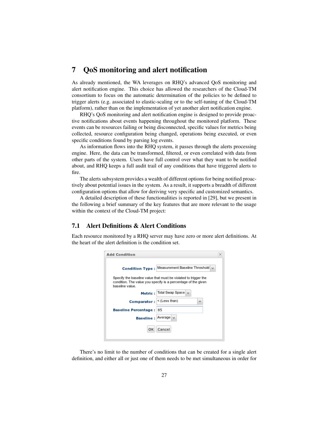## 7 QoS monitoring and alert notification

As already mentioned, the WA leverages on RHQ's advanced QoS monitoring and alert notification engine. This choice has allowed the researchers of the Cloud-TM consortium to focus on the automatic determination of the policies to be defined to trigger alerts (e.g. associated to elastic-scaling or to the self-tuning of the Cloud-TM platform), rather than on the implementation of yet another alert notification engine.

RHQ's QoS monitoring and alert notification engine is designed to provide proactive notifications about events happening throughout the monitored platform. These events can be resources failing or being disconnected, specific values for metrics being collected, resource configuration being changed, operations being executed, or even specific conditions found by parsing log events.

As information flows into the RHQ system, it passes through the alerts processing engine. Here, the data can be transformed, filtered, or even correlated with data from other parts of the system. Users have full control over what they want to be notified about, and RHQ keeps a full audit trail of any conditions that have triggered alerts to fire.

The alerts subsystem provides a wealth of different options for being notified proactively about potential issues in the system. As a result, it supports a breadth of different configuration options that allow for deriving very specific and customized semantics.

A detailed description of these functionalities is reported in [29], but we present in the following a brief summary of the key features that are more relevant to the usage within the context of the Cloud-TM project:

#### 7.1 Alert Definitions & Alert Conditions

Each resource monitored by a RHQ server may have zero or more alert definitions. At the heart of the alert definition is the condition set.

| <b>Add Condition</b>           |                                                                                                                                  | × |
|--------------------------------|----------------------------------------------------------------------------------------------------------------------------------|---|
|                                | Condition Type: Measurement Baseline Threshold                                                                                   |   |
| baseline value.                | Specify the baseline value that must be violated to trigger the<br>condition. The value you specify is a percentage of the given |   |
|                                | Metric: Total Swap Space                                                                                                         |   |
| Comparator : < (Less than)     | $\sim$                                                                                                                           |   |
| <b>Baseline Percentage: 85</b> |                                                                                                                                  |   |
| <b>Baseline:</b>               | Average $\vee$                                                                                                                   |   |
| ОΚ                             | Cancel                                                                                                                           |   |
|                                |                                                                                                                                  |   |

There's no limit to the number of conditions that can be created for a single alert definition, and either all or just one of them needs to be met simultaneous in order for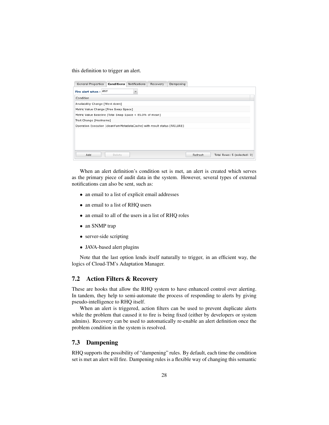this definition to trigger an alert.

| <b>General Properties</b>                                                | Conditions | Notifications | Recovery | Dampening |         |                             |
|--------------------------------------------------------------------------|------------|---------------|----------|-----------|---------|-----------------------------|
| Fire alert when: ANY                                                     |            | ×             |          |           |         |                             |
| Condition                                                                |            |               |          |           |         |                             |
| Availability Change [Went down]                                          |            |               |          |           |         |                             |
| Metric Value Change [Free Swap Space]                                    |            |               |          |           |         |                             |
| Metric Value Baseline [Total Swap Space < 85.0% of mean]                 |            |               |          |           |         |                             |
| Trait Change [Hostname]                                                  |            |               |          |           |         |                             |
| Operation Execution [cleanYumMetadataCache] with result status [FAILURE] |            |               |          |           |         |                             |
|                                                                          |            |               |          |           |         |                             |
|                                                                          |            |               |          |           |         |                             |
|                                                                          |            |               |          |           |         |                             |
|                                                                          |            |               |          |           |         |                             |
| Add                                                                      | Delete     |               |          |           | Refresh | Total Rows: 5 (selected: 0) |

When an alert definition's condition set is met, an alert is created which serves as the primary piece of audit data in the system. However, several types of external notifications can also be sent, such as:

- an email to a list of explicit email addresses
- an email to a list of RHQ users
- an email to all of the users in a list of RHQ roles
- an SNMP trap
- server-side scripting
- JAVA-based alert plugins

Note that the last option lends itself naturally to trigger, in an efficient way, the logics of Cloud-TM's Adaptation Manager.

#### 7.2 Action Filters & Recovery

These are hooks that allow the RHQ system to have enhanced control over alerting. In tandem, they help to semi-automate the process of responding to alerts by giving pseudo-intelligence to RHQ itself.

When an alert is triggered, action filters can be used to prevent duplicate alerts while the problem that caused it to fire is being fixed (either by developers or system admins). Recovery can be used to automatically re-enable an alert definition once the problem condition in the system is resolved.

### 7.3 Dampening

RHQ supports the possibility of "dampening" rules. By default, each time the condition set is met an alert will fire. Dampening rules is a flexible way of changing this semantic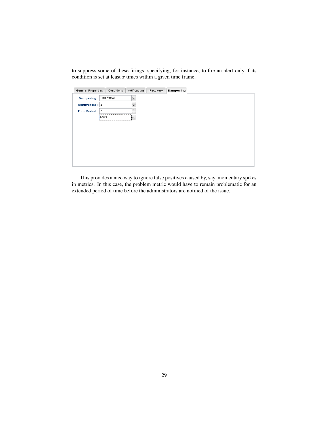to suppress some of these firings, specifying, for instance, to fire an alert only if its condition is set at least  $x$  times within a given time frame.

| <b>General Properties</b> |                     | Conditions | Notifications                            | Recovery | Dampening |
|---------------------------|---------------------|------------|------------------------------------------|----------|-----------|
| Dampening: Time Period    |                     |            | $\mathcal{Q}$                            |          |           |
| Occurrences : 2           |                     |            | $\Delta$<br>⋍<br>$\overline{\mathbf{v}}$ |          |           |
| Time Period: 2            |                     |            | $\Delta$<br>⋍<br>$\bar{\mathbf{v}}$      |          |           |
|                           | 1222222224<br>hours |            | <br>×                                    |          |           |
|                           |                     |            |                                          |          |           |
|                           |                     |            |                                          |          |           |
|                           |                     |            |                                          |          |           |
|                           |                     |            |                                          |          |           |
|                           |                     |            |                                          |          |           |
|                           |                     |            |                                          |          |           |
|                           |                     |            |                                          |          |           |

This provides a nice way to ignore false positives caused by, say, momentary spikes in metrics. In this case, the problem metric would have to remain problematic for an extended period of time before the administrators are notified of the issue.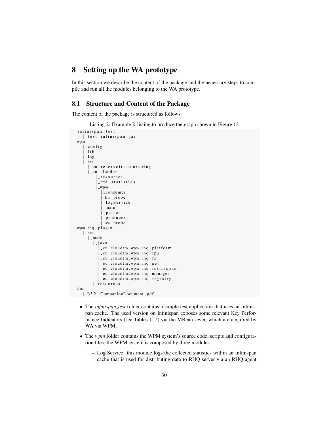## 8 Setting up the WA prototype

In this section we describe the content of the package and the necessary steps to compile and run all the modules belonging to the WA prototype.

#### 8.1 Structure and Content of the Package

The content of the package is structured as follows

Listing 2: Example R listing to produce the graph shown in Figure 13

```
infinispan _ test
   | _test _infinispan.jar
wpm
    | c o n f i g
    -lib| l o g
   \vert - s r c
     | _eu . reservoir . monitoring
     \vert _eu . cloudtm
          | _ r e s o u r c e s
          | _rmi . statistics
          | wpm
             | consumer
             | -hw - probe
             | logService
             \vert -main
             | p a r s e r
             | producer
             \vert -sw - probe
wpm−rhq−p l u g i n
   \vert - s r c
     | main
        | - j a v a
            | _eu . cloudtm . wpm . rhq . platform
            | eu . cl o u dtm . wpm . r h q . cpu
            -eu . cloudtm . wpm . rhq . fs
            -eu . cloudtm . wpm . rhq . net
             | eu . cl o u dtm . wpm . r h q . i n f i n i s p a n
            _eu.cloudtm.wpm.rhq.manager
           | _eu . cloudtm . wpm . rhq . registry
        | resources
doc
  | D3.2−CompanionDocument . p d f
```
- The *infinispan test* folder contains a simple test application that uses an Infinispan cache. The used version on Infinispan exposes some relevant Key Performance Indicators (see Tables 1, 2) via the MBean sever, which are acquired by WA via WPM.
- The *wpm* folder contains the WPM system's source code, scripts and configuration files; the WPM system is composed by three modules
	- Log Service: this module logs the collected statistics within an Infinispan cache that is used for distributing data to RHQ server via an RHQ agent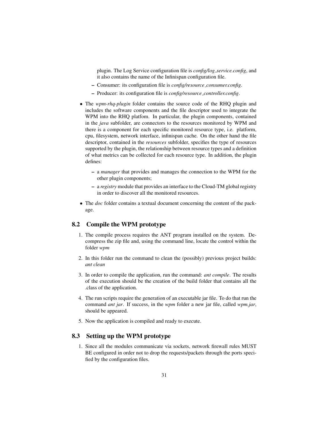plugin. The Log Service configuration file is *config/log service.config*, and it also contains the name of the Infinispan configuration file.

- Consumer: its configuration file is *config/resource consumer.config*.
- Producer: its configuration file is *config/resource controller.config*.
- The *wpm-rhq-plugin* folder contains the source code of the RHQ plugin and includes the software components and the file descriptor used to integrate the WPM into the RHQ platfom. In particular, the plugin components, contained in the *java* subfolder, are connectors to the resources monitored by WPM and there is a component for each specific monitored resource type, i.e. platform, cpu, filesystem, network interface, infinispan cache. On the other hand the file descriptor, contained in the *resources* subfolder, specifies the type of resources supported by the plugin, the relationship between resource types and a definition of what metrics can be collected for each resource type. In addition, the plugin defines:
	- a *manager* that provides and manages the connection to the WPM for the other plugin components;
	- a *registry* module that provides an interface to the Cloud-TM global registry in order to discover all the monitored resources.
- The *doc* folder contains a textual document concerning the content of the package.

### 8.2 Compile the WPM prototype

- 1. The compile process requires the ANT program installed on the system. Decompress the zip file and, using the command line, locate the control within the folder *wpm*
- 2. In this folder run the command to clean the (possibly) previous project builds: *ant clean*
- 3. In order to compile the application, run the command: *ant compile*. The results of the execution should be the creation of the build folder that contains all the .class of the application.
- 4. The run scripts require the generation of an executable jar file. To do that run the command *ant jar*. If success, in the *wpm* folder a new jar file, called *wpm.jar*, should be appeared.
- 5. Now the application is compiled and ready to execute.

### 8.3 Setting up the WPM prototype

1. Since all the modules communicate via sockets, network firewall rules MUST BE configured in order not to drop the requests/packets through the ports specified by the configuration files.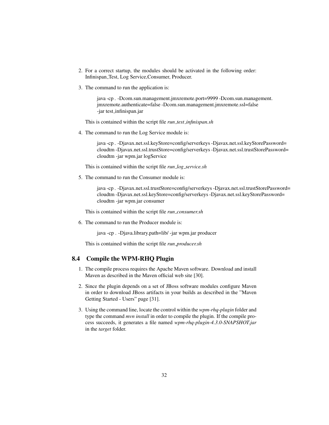- 2. For a correct startup, the modules should be activated in the following order: Infinispan Test, Log Service,Consumer, Producer.
- 3. The command to run the application is:

java -cp . -Dcom.sun.management.jmxremote.port=9999 -Dcom.sun.management. jmxremote.authenticate=false -Dcom.sun.management.jmxremote.ssl=false -jar test infinispan.jar

This is contained within the script file *run test infinispan.sh*

4. The command to run the Log Service module is:

java -cp . -Djavax.net.ssl.keyStore=config/serverkeys -Djavax.net.ssl.keyStorePassword= cloudtm -Djavax.net.ssl.trustStore=config/serverkeys -Djavax.net.ssl.trustStorePassword= cloudtm -jar wpm.jar logService

This is contained within the script file *run log service.sh*

5. The command to run the Consumer module is:

java -cp . -Djavax.net.ssl.trustStore=config/serverkeys -Djavax.net.ssl.trustStorePassword= cloudtm -Djavax.net.ssl.keyStore=config/serverkeys -Djavax.net.ssl.keyStorePassword= cloudtm -jar wpm.jar consumer

This is contained within the script file *run consumer.sh*

6. The command to run the Producer module is:

java -cp . -Djava.library.path=lib/ -jar wpm.jar producer

This is contained within the script file *run producer.sh*

#### 8.4 Compile the WPM-RHQ Plugin

- 1. The compile process requires the Apache Maven software. Download and install Maven as described in the Maven official web site [30].
- 2. Since the plugin depends on a set of JBoss software modules configure Maven in order to download JBoss artifacts in your builds as described in the "Maven Getting Started - Users" page [31].
- 3. Using the command line, locate the control within the *wpm-rhq-plugin* folder and type the command *mvn install* in order to compile the plugin. If the compile process succeeds, it generates a file named *wpm-rhq-plugin-4.3.0-SNAPSHOT.jar* in the *target* folder.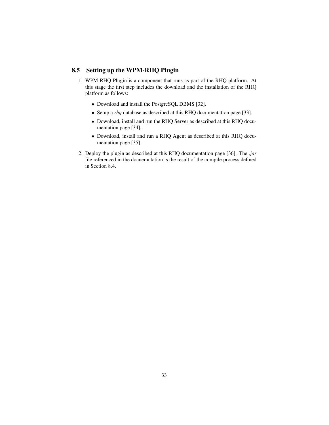## 8.5 Setting up the WPM-RHQ Plugin

- 1. WPM-RHQ Plugin is a component that runs as part of the RHQ platform. At this stage the first step includes the download and the installation of the RHQ platform as follows:
	- Download and install the PostgreSQL DBMS [32].
	- Setup a *rhq* database as described at this RHQ documentation page [33].
	- Download, install and run the RHQ Server as described at this RHQ documentation page [34].
	- Download, install and run a RHQ Agent as described at this RHQ documentation page [35].
- 2. Deploy the plugin as described at this RHQ documentation page [36]. The *.jar* file referenced in the docuemntation is the result of the compile process defined in Section 8.4.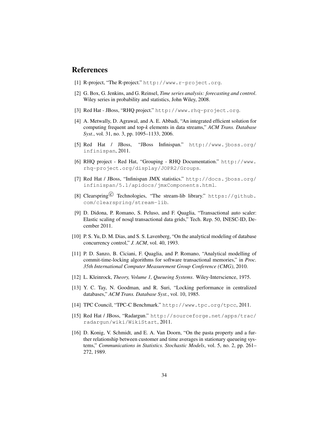## References

- [1] R-project, "The R-project." http://www.r-project.org.
- [2] G. Box, G. Jenkins, and G. Reinsel, *Time series analysis: forecasting and control*. Wiley series in probability and statistics, John Wiley, 2008.
- [3] Red Hat JBoss, "RHQ project." http://www.rhq-project.org.
- [4] A. Metwally, D. Agrawal, and A. E. Abbadi, "An integrated efficient solution for computing frequent and top-*k* elements in data streams," *ACM Trans. Database Syst.*, vol. 31, no. 3, pp. 1095–1133, 2006.
- [5] Red Hat / JBoss, "JBoss Infinispan." http://www.jboss.org/ infinispan, 2011.
- [6] RHQ project Red Hat, "Grouping RHQ Documentation." http://www. rhq-project.org/display/JOPR2/Groups.
- [7] Red Hat / JBoss, "Infinispan JMX statistics." http://docs.jboss.org/ infinispan/5.1/apidocs/jmxComponents.html.
- [8] Clearspring<sup>(C)</sup> Technologies, "The stream-lib library." https://github. com/clearspring/stream-lib.
- [9] D. Didona, P. Romano, S. Peluso, and F. Quaglia, "Transactional auto scaler: Elastic scaling of nosql transactional data grids," Tech. Rep. 50, INESC-ID, December 2011.
- [10] P. S. Yu, D. M. Dias, and S. S. Lavenberg, "On the analytical modeling of database concurrency control," *J. ACM*, vol. 40, 1993.
- [11] P. D. Sanzo, B. Ciciani, F. Quaglia, and P. Romano, "Analytical modelling of commit-time-locking algorithms for software transactional memories," in *Proc. 35th International Computer Measurement Group Conference (CMG)*, 2010.
- [12] L. Kleinrock, *Theory, Volume 1, Queueing Systems*. Wiley-Interscience, 1975.
- [13] Y. C. Tay, N. Goodman, and R. Suri, "Locking performance in centralized databases," *ACM Trans. Database Syst.*, vol. 10, 1985.
- [14] TPC Council, "TPC-C Benchmark." http://www.tpc.org/tpcc, 2011.
- [15] Red Hat / JBoss, "Radargun." http://sourceforge.net/apps/trac/ radargun/wiki/WikiStart, 2011.
- [16] D. Konig, V. Schmidt, and E. A. Van Doorn, "On the pasta property and a further relationship between customer and time averages in stationary queueing systems," *Communications in Statistics. Stochastic Models*, vol. 5, no. 2, pp. 261– 272, 1989.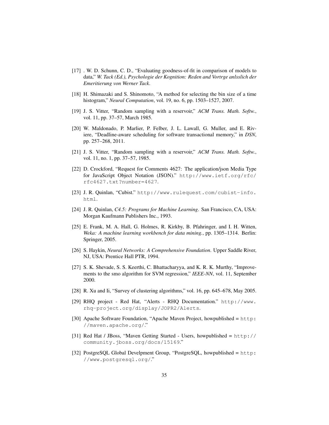- [17] . W. D. Schunn, C. D., "Evaluating goodness-of-fit in comparison of models to data," *W. Tack (Ed.), Psychologie der Kognition: Reden and Vortrge anlsslich der Emeritierung von Werner Tack*.
- [18] H. Shimazaki and S. Shinomoto, "A method for selecting the bin size of a time histogram," *Neural Computation*, vol. 19, no. 6, pp. 1503–1527, 2007.
- [19] J. S. Vitter, "Random sampling with a reservoir," *ACM Trans. Math. Softw.*, vol. 11, pp. 37–57, March 1985.
- [20] W. Maldonado, P. Marlier, P. Felber, J. L. Lawall, G. Muller, and E. Riviere, "Deadline-aware scheduling for software transactional memory," in *DSN*, pp. 257–268, 2011.
- [21] J. S. Vitter, "Random sampling with a reservoir," *ACM Trans. Math. Softw.*, vol. 11, no. 1, pp. 37–57, 1985.
- [22] D. Crockford, "Request for Comments 4627: The application/json Media Type for JavaScript Object Notation (JSON)." http://www.ietf.org/rfc/ rfc4627.txt?number=4627.
- [23] J. R. Quinlan, "Cubist." http://www.rulequest.com/cubist-info. html.
- [24] J. R. Quinlan, *C4.5: Programs for Machine Learning*. San Francisco, CA, USA: Morgan Kaufmann Publishers Inc., 1993.
- [25] E. Frank, M. A. Hall, G. Holmes, R. Kirkby, B. Pfahringer, and I. H. Witten, *Weka: A machine learning workbench for data mining.*, pp. 1305–1314. Berlin: Springer, 2005.
- [26] S. Haykin, *Neural Networks: A Comprehensive Foundation*. Upper Saddle River, NJ, USA: Prentice Hall PTR, 1994.
- [27] S. K. Shevade, S. S. Keerthi, C. Bhattacharyya, and K. R. K. Murthy, "Improvements to the smo algorithm for SVM regression," *IEEE-NN*, vol. 11, September 2000.
- [28] R. Xu and Ii, "Survey of clustering algorithms," vol. 16, pp. 645–678, May 2005.
- [29] RHQ project Red Hat, "Alerts RHQ Documentation." http://www. rhq-project.org/display/JOPR2/Alerts.
- [30] Apache Software Foundation, "Apache Maven Project, howpublished = http: //maven.apache.org/."
- [31] Red Hat / JBoss, "Maven Getting Started Users, howpublished = http:// community.jboss.org/docs/15169."
- [32] PostgreSQL Global Develpment Group, "PostgreSQL, howpublished = http: //www.postgresql.org/."